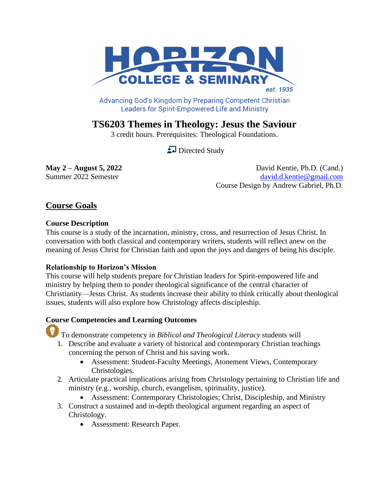

Advancing God's Kingdom by Preparing Competent Christian **Leaders for Spirit-Empowered Life and Ministry** 

**TS6203 Themes in Theology: Jesus the Saviour**

3 credit hours. Prerequisites: Theological Foundations.

Directed Study

**May** 2 – **August 5, 2022** David Kentie, Ph.D. (Cand.) Summer 2022 Semester [david.d.kentie@gmail.com](mailto:david.d.kentie@gmail.com) Course Design by Andrew Gabriel, Ph.D.

# **Course Goals**

# **Course Description**

This course is a study of the incarnation, ministry, cross, and resurrection of Jesus Christ. In conversation with both classical and contemporary writers, students will reflect anew on the meaning of Jesus Christ for Christian faith and upon the joys and dangers of being his disciple.

# **Relationship to Horizon's Mission**

This course will help students prepare for Christian leaders for Spirit-empowered life and ministry by helping them to ponder theological significance of the central character of Christianity—Jesus Christ. As students increase their ability to think critically about theological issues, students will also explore how Christology affects discipleship.

# **Course Competencies and Learning Outcomes**

To demonstrate competency in *Biblical and Theological Literacy* students will

- 1. Describe and evaluate a variety of historical and contemporary Christian teachings concerning the person of Christ and his saving work.
	- Assessment: Student-Faculty Meetings, Atonement Views, Contemporary Christologies.
- 2. Articulate practical implications arising from Christology pertaining to Christian life and ministry (e.g., worship, church, evangelism, spirituality, justice).
	- Assessment: Contemporary Christologies; Christ, Discipleship, and Ministry
- 3. Construct a sustained and in-depth theological argument regarding an aspect of Christology.
	- Assessment: Research Paper.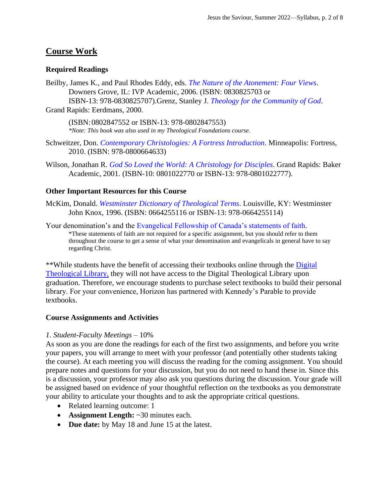# **Course Work**

### **Required Readings**

- Beilby, James K., and Paul Rhodes Eddy, eds. *[The Nature of the Atonement: Four Views](http://books.google.ca/books?id=gCqqsP9I9QAC&lpg=PP1&dq=The%20Nature%20of%20the%20Atonement%3A%20Four%20Views&pg=PP1#v=onepage&q&f=false)*. Downers Grove, IL: IVP Academic, 2006. (ISBN: 0830825703 or ISBN-13: 978-0830825707).Grenz, Stanley J. *[Theology for the Community of God](http://books.google.com/books?id=NAPrXVh_56wC&printsec=frontcover&dq=Theology+for+the+Community+of+God)*.
- Grand Rapids: Eerdmans, 2000.

(ISBN:0802847552 or ISBN-13: 978-0802847553) *\*Note: This book was also used in my Theological Foundations course.*

- Schweitzer, Don. *[Contemporary Christologies: A Fortress Introduction](http://books.google.ca/books?id=CRCT73hCAd4C&lpg=PP1&dq=Contemporary%20Christologies%3A%20A%20Fortress%20Introduction&pg=PP1#v=onepage&q&f=false)*. Minneapolis: Fortress, 2010. (ISBN: 978-0800664633)
- Wilson, Jonathan R. *[God So Loved the World: A Christology for Disciples](http://books.google.ca/books?id=l0pL3ZGECvkC&lpg=PP1&dq=God%20So%20Loved%20the%20World%3A%20A%20Christology%20for%20Disciples&pg=PP1#v=onepage&q&f=false)*. Grand Rapids: Baker Academic, 2001. (ISBN-10: 0801022770 or ISBN-13: 978-0801022777).

### **Other Important Resources for this Course**

- McKim, Donald. *[Westminster Dictionary of Theological Terms](http://books.google.com/books?id=jRQw9OiemgsC&pg=PP1&dq=Westminster+Dictionary+of+Theological+Terms&lr=)*. Louisville, KY: Westminster John Knox, 1996. (ISBN: 0664255116 or ISBN-13: 978-0664255114)
- Your denomination's and the [Evangelical Fellowship of Canada's statements of faith.](http://www.evangelicalfellowship.ca/NetCommunity/Page.aspx?pid=265) \*These statements of faith are not required for a specific assignment, but you should refer to them throughout the course to get a sense of what your denomination and evangelicals in general have to say regarding Christ.

\*\*While students have the benefit of accessing their textbooks online through the **Digital** [Theological Library,](https://saskatoon.mlasolutions.com/m5/catalog/(S(3h21syce2tpjqj0wea2rbnzr))/Default.aspx?installation=HRZN) they will not have access to the Digital Theological Library upon graduation. Therefore, we encourage students to purchase select textbooks to build their personal library. For your convenience, Horizon has partnered with Kennedy's Parable to provide textbooks.

### **Course Assignments and Activities**

### *1. Student-Faculty Meetings* – 10%

As soon as you are done the readings for each of the first two assignments, and before you write your papers, you will arrange to meet with your professor (and potentially other students taking the course). At each meeting you will discuss the reading for the coming assignment. You should prepare notes and questions for your discussion, but you do not need to hand these in. Since this is a discussion, your professor may also ask you questions during the discussion. Your grade will be assigned based on evidence of your thoughtful reflection on the textbooks as you demonstrate your ability to articulate your thoughts and to ask the appropriate critical questions.

- Related learning outcome: 1
- **Assignment Length:** ~30 minutes each.
- **Due date:** by May 18 and June 15 at the latest.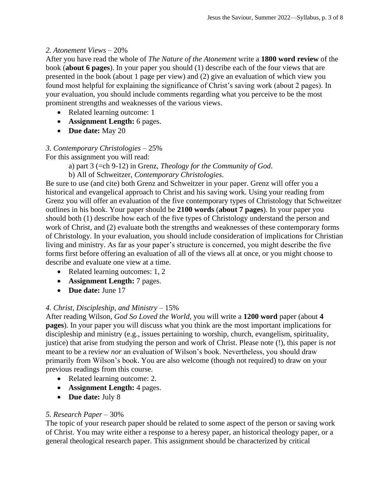#### *2. Atonement Views* – 20%

After you have read the whole of *The Nature of the Atonement* write a **1800 word review** of the book (**about 6 pages**). In your paper you should (1) describe each of the four views that are presented in the book (about 1 page per view) and (2) give an evaluation of which view you found most helpful for explaining the significance of Christ's saving work (about 2 pages). In your evaluation, you should include comments regarding what you perceive to be the most prominent strengths and weaknesses of the various views.

- Related learning outcome: 1
- **Assignment Length:** 6 pages.
- **Due date:** May 20

### *3. Contemporary Christologies* – 25%

For this assignment you will read:

a) part 3 (=ch 9-12) in Grenz, *Theology for the Community of God*.

b) All of Schweitzer, *Contemporary Christologies*.

Be sure to use (and cite) both Grenz and Schweitzer in your paper. Grenz will offer you a historical and evangelical approach to Christ and his saving work. Using your reading from Grenz you will offer an evaluation of the five contemporary types of Christology that Schweitzer outlines in his book. Your paper should be **2100 words** (**about 7 pages**). In your paper you should both (1) describe how each of the five types of Christology understand the person and work of Christ, and (2) evaluate both the strengths and weaknesses of these contemporary forms of Christology. In your evaluation, you should include consideration of implications for Christian living and ministry. As far as your paper's structure is concerned, you might describe the five forms first before offering an evaluation of all of the views all at once, or you might choose to describe and evaluate one view at a time.

- Related learning outcomes: 1, 2
- **Assignment Length:** 7 pages.
- **Due date:** June 17

### *4. Christ, Discipleship, and Ministry* – 15%

After reading Wilson, *God So Loved the World*, you will write a **1200 word** paper (about **4 pages**). In your paper you will discuss what you think are the most important implications for discipleship and ministry (e.g., issues pertaining to worship, church, evangelism, spirituality, justice) that arise from studying the person and work of Christ. Please note (!), this paper is *not*  meant to be a review *nor* an evaluation of Wilson's book. Nevertheless, you should draw primarily from Wilson's book. You are also welcome (though not required) to draw on your previous readings from this course.

- Related learning outcome: 2.
- **Assignment Length:** 4 pages.
- **Due date:** July 8

### *5. Research Paper* – 30%

The topic of your research paper should be related to some aspect of the person or saving work of Christ. You may write either a response to a heresy paper, an historical theology paper, or a general theological research paper. This assignment should be characterized by critical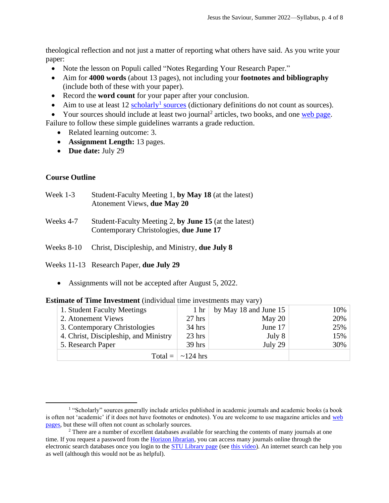theological reflection and not just a matter of reporting what others have said. As you write your paper:

- Note the lesson on Populi called "Notes Regarding Your Research Paper."
- Aim for **4000 words** (about 13 pages), not including your **footnotes and bibliography** (include both of these with your paper).
- Record the **word count** for your paper after your conclusion.
- Aim to use at least  $12$  [scholarly](https://www.uvic.ca/library/help/tips/scholvpop/index.php)<sup>1</sup> sources (dictionary definitions do not count as sources).

• Your sources should include at least two journal<sup>2</sup> articles, two books, and one [web page.](http://guides.theology.library.emory.edu/content.php?pid=67343&sid=497415) Failure to follow these simple guidelines warrants a grade reduction.

- Related learning outcome: 3.
- **Assignment Length:** 13 pages.
- **Due date:** July 29

### **Course Outline**

| Week $1-3$ | Student-Faculty Meeting 1, by May 18 (at the latest)<br>Atonement Views, due May 20              |
|------------|--------------------------------------------------------------------------------------------------|
| Weeks 4-7  | Student-Faculty Meeting 2, by June 15 (at the latest)<br>Contemporary Christologies, due June 17 |

Weeks 8-10 Christ, Discipleship, and Ministry, **due July 8**

Weeks 11-13 Research Paper, **due July 29**

• Assignments will not be accepted after August 5, 2022.

| 1. Student Faculty Meetings           | 1 <sub>hr</sub>              | by May 18 and June 15 | 10% |
|---------------------------------------|------------------------------|-----------------------|-----|
| 2. Atonement Views                    | $27$ hrs                     | May $20$              | 20% |
| 3. Contemporary Christologies         | $34$ hrs                     | June 17               | 25% |
| 4. Christ, Discipleship, and Ministry | $23$ hrs                     | July 8                | 15% |
| 5. Research Paper                     | $39$ hrs                     | July 29               | 30% |
|                                       | Total = $\vert \sim 124$ hrs |                       |     |

#### **Estimate of Time Investment** (individual time investments may vary)

<sup>&</sup>lt;sup>1</sup> "Scholarly" sources generally include articles published in academic journals and academic books (a book is often not 'academic' if it does not have footnotes or endnotes). You are welcome to use magazine articles and [web](http://guides.theology.library.emory.edu/content.php?pid=67343&sid=497415)  [pages,](http://guides.theology.library.emory.edu/content.php?pid=67343&sid=497415) but these will often not count as scholarly sources.

<sup>&</sup>lt;sup>2</sup> There are a number of excellent databases available for searching the contents of many journals at one time. If you request a password from th[e Horizon librarian,](mailto:library@horizon.edu) you can access many journals online through the electronic search databases once you login to the **STU Library page** (se[e this video\)](http://screencast.com/t/YdxLTQ2JIx). An internet search can help you as well (although this would not be as helpful).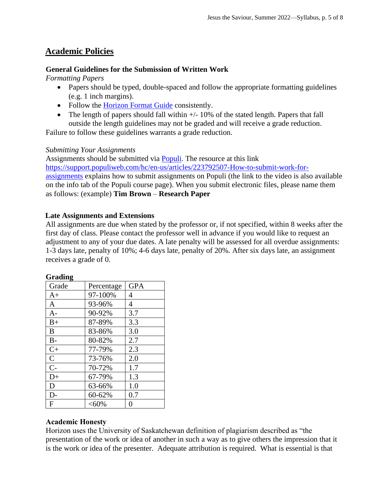# **Academic Policies**

#### **General Guidelines for the Submission of Written Work**

*Formatting Papers* 

- Papers should be typed, double-spaced and follow the appropriate formatting guidelines (e.g. 1 inch margins).
- Follow the [Horizon Format Guide](https://www.horizon.edu/students/resources/) consistently.
- The length of papers should fall within  $+/-10\%$  of the stated length. Papers that fall outside the length guidelines may not be graded and will receive a grade reduction.

Failure to follow these guidelines warrants a grade reduction.

#### *Submitting Your Assignments*

Assignments should be submitted via [Populi.](https://horizon.populiweb.com/) The resource at this link [https://support.populiweb.com/hc/en-us/articles/223792507-How-to-submit-work-for](https://support.populiweb.com/hc/en-us/articles/223792507-How-to-submit-work-for-assignments)[assignments](https://support.populiweb.com/hc/en-us/articles/223792507-How-to-submit-work-for-assignments) explains how to submit assignments on Populi (the link to the video is also available on the info tab of the Populi course page). When you submit electronic files, please name them as follows: (example) **Tim Brown** – **Research Paper**

#### **Late Assignments and Extensions**

All assignments are due when stated by the professor or, if not specified, within 8 weeks after the first day of class. Please contact the professor well in advance if you would like to request an adjustment to any of your due dates. A late penalty will be assessed for all overdue assignments: 1-3 days late, penalty of 10%; 4-6 days late, penalty of 20%. After six days late, an assignment receives a grade of 0.

| $\mathsf{argmin}_{\mathsf{S}}$ |            |            |
|--------------------------------|------------|------------|
| Grade                          | Percentage | <b>GPA</b> |
| $A+$                           | 97-100%    | 4          |
| A                              | 93-96%     | 4          |
| $A-$                           | 90-92%     | 3.7        |
| $B+$                           | 87-89%     | 3.3        |
| B                              | 83-86%     | 3.0        |
| $B-$                           | 80-82%     | 2.7        |
| $C+$                           | 77-79%     | 2.3        |
| $\mathbf C$                    | 73-76%     | 2.0        |
| $\overline{C}$                 | 70-72%     | 1.7        |
| $D+$                           | 67-79%     | 1.3        |
| D                              | 63-66%     | 1.0        |
| D-                             | 60-62%     | 0.7        |
| $\mathbf{F}$                   | $<,60\%$   | 0          |

#### **Grading**

#### **Academic Honesty**

Horizon uses the University of Saskatchewan definition of plagiarism described as "the presentation of the work or idea of another in such a way as to give others the impression that it is the work or idea of the presenter. Adequate attribution is required. What is essential is that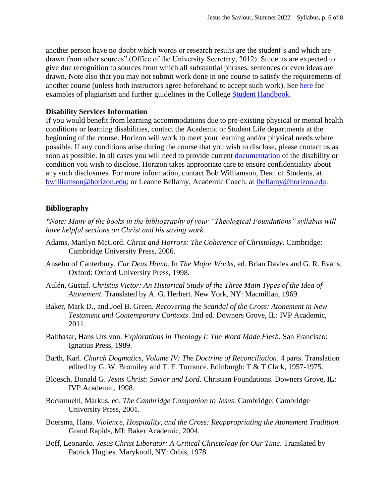another person have no doubt which words or research results are the student's and which are drawn from other sources" (Office of the University Secretary, 2012). Students are expected to give due recognition to sources from which all substantial phrases, sentences or even ideas are drawn. Note also that you may not submit work done in one course to satisfy the requirements of another course (unless both instructors agree beforehand to accept such work). See [here](http://www.turnitin.com/assets/en_us/media/plagiarism_spectrum.php) for examples of plagiarism and further guidelines in the College [Student Handbook.](https://www.horizon.edu/students/resources/)

#### **Disability Services Information**

If you would benefit from learning accommodations due to pre-existing physical or mental health conditions or learning disabilities, contact the Academic or Student Life departments at the beginning of the course. Horizon will work to meet your learning and/or physical needs where possible. If any conditions arise during the course that you wish to disclose, please contact us as soon as possible. In all cases you will need to provide current [documentation](https://www.horizon.edu/students/support/) of the disability or condition you wish to disclose. Horizon takes appropriate care to ensure confidentiality about any such disclosures. For more information, contact Bob Williamson, Dean of Students, at [bwilliamson@horizon.edu;](mailto:bwilliamson@horizon.edu) or Leanne Bellamy, Academic Coach, at [lbellamy@horizon.edu.](mailto:lbellamy@horizon.edu)

#### **Bibliography**

*\*Note: Many of the books in the bibliography of your "Theological Foundations" syllabus will have helpful sections on Christ and his saving work.*

- Adams, Marilyn McCord. *Christ and Horrors: The Coherence of Christology*. Cambridge: Cambridge University Press, 2006.
- Anselm of Canterbury. *Cur Deus Homo*. In *The Major Works*, ed. Brian Davies and G. R. Evans. Oxford: Oxford University Press, 1998.
- Aulén, Gustaf. *Christus Victor: An Historical Study of the Three Main Types of the Idea of Atonement*. Translated by A. G. Herbert. New York, NY: Macmillan, 1969.
- Baker, Mark D., and Joel B. Green. *Recovering the Scandal of the Cross: Atonement in New Testament and Contemporary Contexts*. 2nd ed. Downers Grove, IL: IVP Academic, 2011.
- Balthasar, Hans Urs von. *Explorations in Theology I: The Word Made Flesh*. San Francisco: Ignatius Press, 1989.
- Barth, Karl. *Church Dogmatics, Volume IV: The Doctrine of Reconciliation*. 4 parts. Translation edited by G. W. Bromiley and T. F. Torrance. Edinburgh: T & T Clark, 1957-1975.
- Bloesch, Donald G. *Jesus Christ: Savior and Lord*. Christian Foundations. Downers Grove, IL: IVP Academic, 1998.
- Bockmuehl, Markus, ed. *The Cambridge Companion to Jesus*. Cambridge: Cambridge University Press, 2001.
- Boersma, Hans. *Violence, Hospitality, and the Cross: Reappropriating the Atonement Tradition.*  Grand Rapids, MI: Baker Academic, 2004.
- Boff, Leonardo. *Jesus Christ Liberator: A Critical Christology for Our Time*. Translated by Patrick Hughes. Maryknoll, NY: Orbis, 1978.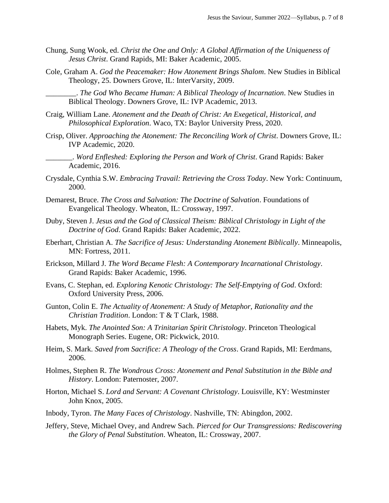- Chung, Sung Wook, ed. *Christ the One and Only: A Global Affirmation of the Uniqueness of Jesus Christ*. Grand Rapids, MI: Baker Academic, 2005.
- Cole, Graham A. *God the Peacemaker: How Atonement Brings Shalom*. New Studies in Biblical Theology, 25. Downers Grove, IL: InterVarsity, 2009.

\_\_\_\_\_\_\_\_. *The God Who Became Human: A Biblical Theology of Incarnation*. New Studies in Biblical Theology. Downers Grove, IL: IVP Academic, 2013.

- Craig, William Lane. *Atonement and the Death of Christ: An Exegetical, Historical, and Philosophical Exploration*. Waco, TX: Baylor University Press, 2020.
- Crisp, Oliver. *Approaching the Atonement: The Reconciling Work of Christ*. Downers Grove, IL: IVP Academic, 2020.

\_\_\_\_\_\_\_. *Word Enfleshed: Exploring the Person and Work of Christ*. Grand Rapids: Baker Academic, 2016.

- Crysdale, Cynthia S.W. *Embracing Travail: Retrieving the Cross Today*. New York: Continuum, 2000.
- Demarest, Bruce. *The Cross and Salvation: The Doctrine of Salvation*. Foundations of Evangelical Theology. Wheaton, IL: Crossway, 1997.
- Duby, Steven J. *Jesus and the God of Classical Theism: Biblical Christology in Light of the Doctrine of God*. Grand Rapids: Baker Academic, 2022.
- Eberhart, Christian A. *The Sacrifice of Jesus: Understanding Atonement Biblically*. Minneapolis, MN: Fortress, 2011.
- Erickson, Millard J. *The Word Became Flesh: A Contemporary Incarnational Christology*. Grand Rapids: Baker Academic, 1996.
- Evans, C. Stephan, ed. *Exploring Kenotic Christology: The Self-Emptying of God*. Oxford: Oxford University Press, 2006.
- Gunton, Colin E. *The Actuality of Atonement: A Study of Metaphor, Rationality and the Christian Tradition*. London: T & T Clark, 1988.
- Habets, Myk. *The Anointed Son: A Trinitarian Spirit Christology*. Princeton Theological Monograph Series. Eugene, OR: Pickwick, 2010.
- Heim, S. Mark. *Saved from Sacrifice: A Theology of the Cross*. Grand Rapids, MI: Eerdmans, 2006.
- Holmes, Stephen R. *The Wondrous Cross: Atonement and Penal Substitution in the Bible and History*. London: Paternoster, 2007.
- Horton, Michael S. *Lord and Servant: A Covenant Christology*. Louisville, KY: Westminster John Knox, 2005.
- Inbody, Tyron. *The Many Faces of Christology*. Nashville, TN: Abingdon, 2002.
- Jeffery, Steve, Michael Ovey, and Andrew Sach. *Pierced for Our Transgressions: Rediscovering the Glory of Penal Substitution*. Wheaton, IL: Crossway, 2007.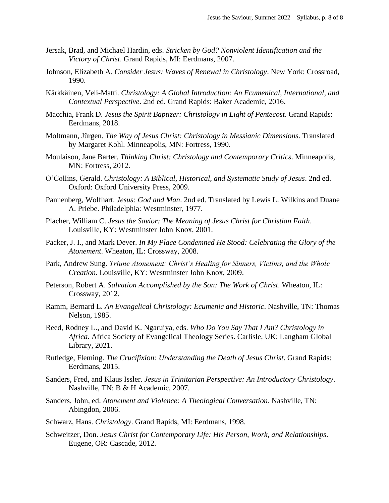- Jersak, Brad, and Michael Hardin, eds. *Stricken by God? Nonviolent Identification and the Victory of Christ*. Grand Rapids, MI: Eerdmans, 2007.
- Johnson, Elizabeth A. *Consider Jesus: Waves of Renewal in Christology*. New York: Crossroad, 1990.
- Kärkkäinen, Veli-Matti. *Christology: A Global Introduction: An Ecumenical, International, and Contextual Perspective*. 2nd ed. Grand Rapids: Baker Academic, 2016.
- Macchia, Frank D. *Jesus the Spirit Baptizer: Christology in Light of Pentecost*. Grand Rapids: Eerdmans, 2018.
- Moltmann, Jürgen. *The Way of Jesus Christ: Christology in Messianic Dimensions*. Translated by Margaret Kohl. Minneapolis, MN: Fortress, 1990.
- Moulaison, Jane Barter. *Thinking Christ: Christology and Contemporary Critics*. Minneapolis, MN: Fortress, 2012.
- O'Collins, Gerald. *Christology: A Biblical, Historical, and Systematic Study of Jesus*. 2nd ed. Oxford: Oxford University Press, 2009.
- Pannenberg, Wolfhart. *Jesus: God and Man*. 2nd ed. Translated by Lewis L. Wilkins and Duane A. Priebe. Philadelphia: Westminster, 1977.
- Placher, William C. *Jesus the Savior: The Meaning of Jesus Christ for Christian Faith*. Louisville, KY: Westminster John Knox, 2001.
- Packer, J. I., and Mark Dever. *In My Place Condemned He Stood: Celebrating the Glory of the Atonement*. Wheaton, IL: Crossway, 2008.
- Park, Andrew Sung. *Triune Atonement: Christ's Healing for Sinners, Victims, and the Whole Creation*. Louisville, KY: Westminster John Knox, 2009.
- Peterson, Robert A. *Salvation Accomplished by the Son: The Work of Christ*. Wheaton, IL: Crossway, 2012.
- Ramm, Bernard L. *An Evangelical Christology: Ecumenic and Historic*. Nashville, TN: Thomas Nelson, 1985.
- Reed, Rodney L., and David K. Ngaruiya, eds. *Who Do You Say That I Am? Christology in Africa*. Africa Society of Evangelical Theology Series. Carlisle, UK: Langham Global Library, 2021.
- Rutledge, Fleming. *The Crucifixion: Understanding the Death of Jesus Christ*. Grand Rapids: Eerdmans, 2015.
- Sanders, Fred, and Klaus Issler. *Jesus in Trinitarian Perspective: An Introductory Christology*. Nashville, TN: B & H Academic, 2007.
- Sanders, John, ed. *Atonement and Violence: A Theological Conversation*. Nashville, TN: Abingdon, 2006.
- Schwarz, Hans. *Christology*. Grand Rapids, MI: Eerdmans, 1998.
- Schweitzer, Don. *Jesus Christ for Contemporary Life: His Person, Work, and Relationships*. Eugene, OR: Cascade, 2012.